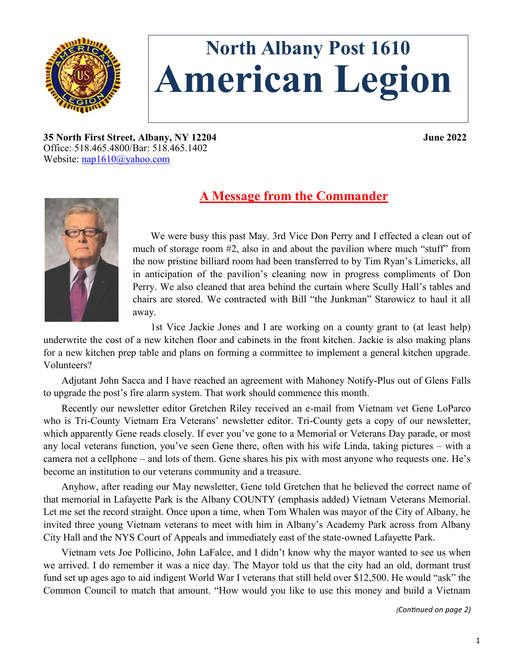

# **North Albany Post 1610 American Legion**

**35 North First Street, Albany, NY 12204 June 2022** Office: 518.465.4800/Bar: 518.465.1402 Website: [nap1610@yahoo.com](mailto:nap1610@yahoo.com)



# **A Message from the Commander**

We were busy this past May. 3rd Vice Don Perry and I effected a clean out of much of storage room  $#2$ , also in and about the pavilion where much "stuff" from the now pristine billiard room had been transferred to by Tim Ryan's Limericks, all in anticipation of the pavilion's cleaning now in progress compliments of Don Perry. We also cleaned that area behind the curtain where Scully Hall's tables and chairs are stored. We contracted with Bill "the Junkman" Starowicz to haul it all away.

1st Vice Jackie Jones and I are working on a county grant to (at least help) underwrite the cost of a new kitchen floor and cabinets in the front kitchen. Jackie is also making plans for a new kitchen prep table and plans on forming a committee to implement a general kitchen upgrade. Volunteers?

Adjutant John Sacca and I have reached an agreement with Mahoney Notify-Plus out of Glens Falls to upgrade the post's fire alarm system. That work should commence this month.

Recently our newsletter editor Gretchen Riley received an e-mail from Vietnam vet Gene LoParco who is Tri-County Vietnam Era Veterans' newsletter editor. Tri-County gets a copy of our newsletter, which apparently Gene reads closely. If ever you've gone to a Memorial or Veterans Day parade, or most any local veterans function, you've seen Gene there, often with his wife Linda, taking pictures – with a camera not a cellphone – and lots of them. Gene shares his pix with most anyone who requests one. He's become an institution to our veterans community and a treasure.

Anyhow, after reading our May newsletter, Gene told Gretchen that he believed the correct name of that memorial in Lafayette Park is the Albany COUNTY (emphasis added) Vietnam Veterans Memorial. Let me set the record straight. Once upon a time, when Tom Whalen was mayor of the City of Albany, he invited three young Vietnam veterans to meet with him in Albany's Academy Park across from Albany City Hall and the NYS Court of Appeals and immediately east of the state-owned Lafayette Park.

Vietnam vets Joe Pollicino, John LaFalce, and I didn't know why the mayor wanted to see us when we arrived. I do remember it was a nice day. The Mayor told us that the city had an old, dormant trust fund set up ages ago to aid indigent World War I veterans that still held over \$12,500. He would "ask" the Common Council to match that amount. "How would you like to use this money and build a Vietnam

*(Continued on page 2)*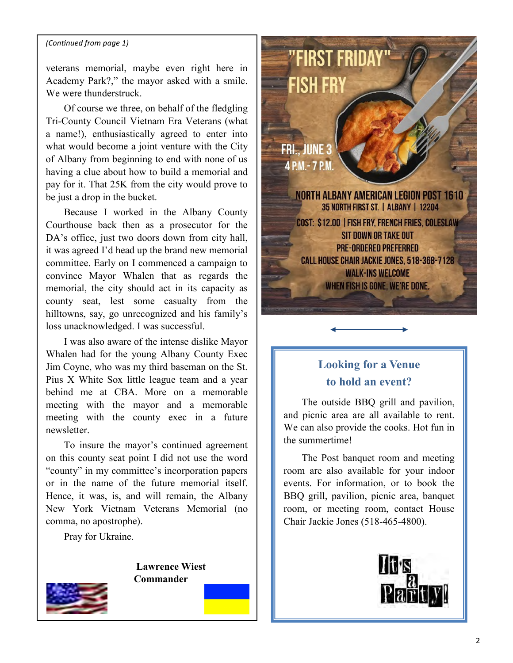#### *(Continued from page 1)*

veterans memorial, maybe even right here in Academy Park?," the mayor asked with a smile. We were thunderstruck

Of course we three, on behalf of the fledgling Tri-County Council Vietnam Era Veterans (what a name!), enthusiastically agreed to enter into what would become a joint venture with the City of Albany from beginning to end with none of us having a clue about how to build a memorial and pay for it. That 25K from the city would prove to be just a drop in the bucket.

Because I worked in the Albany County Courthouse back then as a prosecutor for the DA's office, just two doors down from city hall, it was agreed I'd head up the brand new memorial committee. Early on I commenced a campaign to convince Mayor Whalen that as regards the memorial, the city should act in its capacity as county seat, lest some casualty from the hilltowns, say, go unrecognized and his family's loss unacknowledged. I was successful.

I was also aware of the intense dislike Mayor Whalen had for the young Albany County Exec Jim Coyne, who was my third baseman on the St. Pius X White Sox little league team and a year behind me at CBA. More on a memorable meeting with the mayor and a memorable meeting with the county exec in a future newsletter.

To insure the mayor's continued agreement on this county seat point I did not use the word "county" in my committee's incorporation papers or in the name of the future memorial itself. Hence, it was, is, and will remain, the Albany New York Vietnam Veterans Memorial (no comma, no apostrophe).

Pray for Ukraine.

**Lawrence Wiest Commander**



"FIRST FRIDAY" **FISH FRY FRI.. JUNE 3** 4 P.M. - 7 P.M. NORTH ALBANY AMERICAN LEGION POST 1610 35 NORTH FIRST ST. | ALBANY | 12204 **COST: \$12.00 | FISH FRY, FRENCH FRIES, COLESLAW** SIT DOWN OR TAKE OUT **PRE-ORDERED PREFERRED CALL HOUSE CHAIR JACKIE JONES, 518-368-7128 WALK-INS WELCOME** WHEN FISH IS GONE, WE'RE DONE.

# **Looking for a Venue to hold an event?**

The outside BBQ grill and pavilion, and picnic area are all available to rent. We can also provide the cooks. Hot fun in the summertime!

The Post banquet room and meeting room are also available for your indoor events. For information, or to book the BBQ grill, pavilion, picnic area, banquet room, or meeting room, contact House Chair Jackie Jones (518-465-4800).

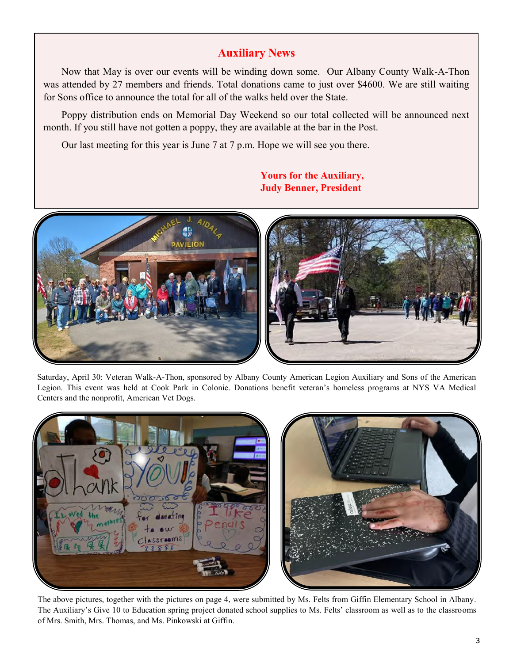### **Auxiliary News**

Now that May is over our events will be winding down some. Our Albany County Walk-A-Thon was attended by 27 members and friends. Total donations came to just over \$4600. We are still waiting for Sons office to announce the total for all of the walks held over the State.

Poppy distribution ends on Memorial Day Weekend so our total collected will be announced next month. If you still have not gotten a poppy, they are available at the bar in the Post.

Our last meeting for this year is June 7 at 7 p.m. Hope we will see you there.

# **DAVILION**

Saturday, April 30: Veteran Walk-A-Thon, sponsored by Albany County American Legion Auxiliary and Sons of the American Legion. This event was held at Cook Park in Colonie. Donations benefit veteran's homeless programs at NYS VA Medical Centers and the nonprofit, American Vet Dogs.



The above pictures, together with the pictures on page 4, were submitted by Ms. Felts from Giffin Elementary School in Albany. The Auxiliary's Give 10 to Education spring project donated school supplies to Ms. Felts' classroom as well as to the classrooms of Mrs. Smith, Mrs. Thomas, and Ms. Pinkowski at Giffin.

#### **Yours for the Auxiliary, Judy Benner, President**